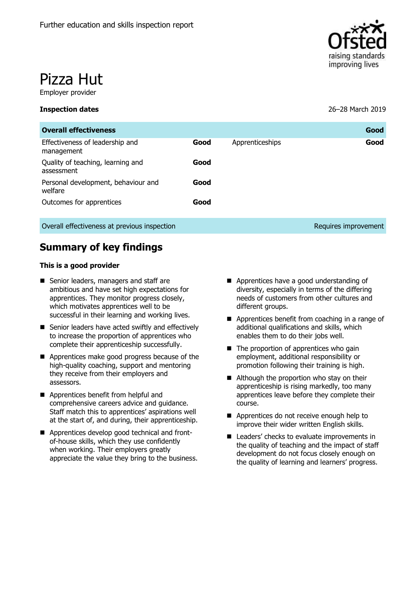

# Pizza Hut

Employer provider

#### **Inspection dates** 26–28 March 2019

| <b>Overall effectiveness</b>                    |      |                 | Good                 |
|-------------------------------------------------|------|-----------------|----------------------|
| Effectiveness of leadership and<br>management   | Good | Apprenticeships | Good                 |
| Quality of teaching, learning and<br>assessment | Good |                 |                      |
| Personal development, behaviour and<br>welfare  | Good |                 |                      |
| Outcomes for apprentices                        | Good |                 |                      |
| Overall effectiveness at previous inspection    |      |                 | Requires improvement |

# **Summary of key findings**

#### **This is a good provider**

- Senior leaders, managers and staff are ambitious and have set high expectations for apprentices. They monitor progress closely, which motivates apprentices well to be successful in their learning and working lives.
- Senior leaders have acted swiftly and effectively to increase the proportion of apprentices who complete their apprenticeship successfully.
- **Apprentices make good progress because of the** high-quality coaching, support and mentoring they receive from their employers and assessors.
- **Apprentices benefit from helpful and** comprehensive careers advice and guidance. Staff match this to apprentices' aspirations well at the start of, and during, their apprenticeship.
- **Apprentices develop good technical and front**of-house skills, which they use confidently when working. Their employers greatly appreciate the value they bring to the business.
- Apprentices have a good understanding of diversity, especially in terms of the differing needs of customers from other cultures and different groups.
- Apprentices benefit from coaching in a range of additional qualifications and skills, which enables them to do their jobs well.
- $\blacksquare$  The proportion of apprentices who gain employment, additional responsibility or promotion following their training is high.
- Although the proportion who stay on their apprenticeship is rising markedly, too many apprentices leave before they complete their course.
- Apprentices do not receive enough help to improve their wider written English skills.
- Leaders' checks to evaluate improvements in the quality of teaching and the impact of staff development do not focus closely enough on the quality of learning and learners' progress.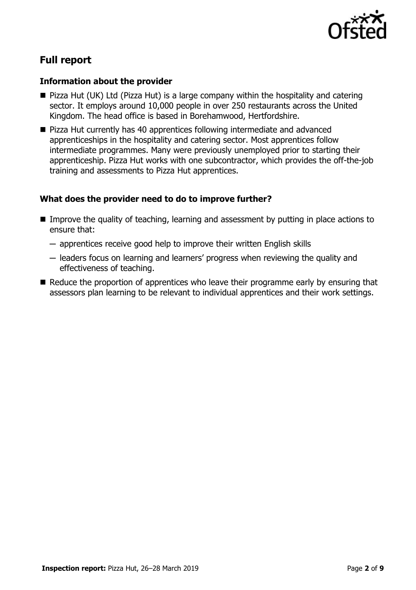

# **Full report**

# **Information about the provider**

- Pizza Hut (UK) Ltd (Pizza Hut) is a large company within the hospitality and catering sector. It employs around 10,000 people in over 250 restaurants across the United Kingdom. The head office is based in Borehamwood, Hertfordshire.
- **Pizza Hut currently has 40 apprentices following intermediate and advanced** apprenticeships in the hospitality and catering sector. Most apprentices follow intermediate programmes. Many were previously unemployed prior to starting their apprenticeship. Pizza Hut works with one subcontractor, which provides the off-the-job training and assessments to Pizza Hut apprentices.

# **What does the provider need to do to improve further?**

- **IMPROM** Improve the quality of teaching, learning and assessment by putting in place actions to ensure that:
	- ─ apprentices receive good help to improve their written English skills
	- ─ leaders focus on learning and learners' progress when reviewing the quality and effectiveness of teaching.
- $\blacksquare$  Reduce the proportion of apprentices who leave their programme early by ensuring that assessors plan learning to be relevant to individual apprentices and their work settings.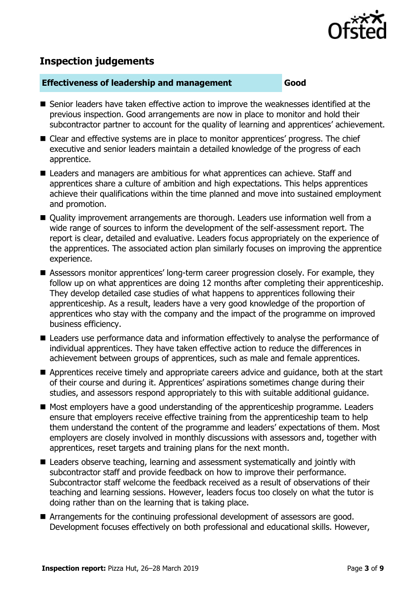

# **Inspection judgements**

## **Effectiveness of leadership and management Good**

- Senior leaders have taken effective action to improve the weaknesses identified at the previous inspection. Good arrangements are now in place to monitor and hold their subcontractor partner to account for the quality of learning and apprentices' achievement.
- Clear and effective systems are in place to monitor apprentices' progress. The chief executive and senior leaders maintain a detailed knowledge of the progress of each apprentice.
- Leaders and managers are ambitious for what apprentices can achieve. Staff and apprentices share a culture of ambition and high expectations. This helps apprentices achieve their qualifications within the time planned and move into sustained employment and promotion.
- Quality improvement arrangements are thorough. Leaders use information well from a wide range of sources to inform the development of the self-assessment report. The report is clear, detailed and evaluative. Leaders focus appropriately on the experience of the apprentices. The associated action plan similarly focuses on improving the apprentice experience.
- Assessors monitor apprentices' long-term career progression closely. For example, they follow up on what apprentices are doing 12 months after completing their apprenticeship. They develop detailed case studies of what happens to apprentices following their apprenticeship. As a result, leaders have a very good knowledge of the proportion of apprentices who stay with the company and the impact of the programme on improved business efficiency.
- **E** Leaders use performance data and information effectively to analyse the performance of individual apprentices. They have taken effective action to reduce the differences in achievement between groups of apprentices, such as male and female apprentices.
- Apprentices receive timely and appropriate careers advice and quidance, both at the start of their course and during it. Apprentices' aspirations sometimes change during their studies, and assessors respond appropriately to this with suitable additional guidance.
- Most employers have a good understanding of the apprenticeship programme. Leaders ensure that employers receive effective training from the apprenticeship team to help them understand the content of the programme and leaders' expectations of them. Most employers are closely involved in monthly discussions with assessors and, together with apprentices, reset targets and training plans for the next month.
- Leaders observe teaching, learning and assessment systematically and jointly with subcontractor staff and provide feedback on how to improve their performance. Subcontractor staff welcome the feedback received as a result of observations of their teaching and learning sessions. However, leaders focus too closely on what the tutor is doing rather than on the learning that is taking place.
- Arrangements for the continuing professional development of assessors are good. Development focuses effectively on both professional and educational skills. However,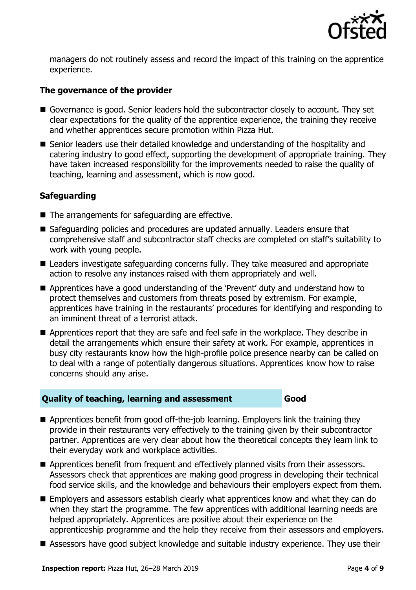

managers do not routinely assess and record the impact of this training on the apprentice experience.

# **The governance of the provider**

- Governance is good. Senior leaders hold the subcontractor closely to account. They set clear expectations for the quality of the apprentice experience, the training they receive and whether apprentices secure promotion within Pizza Hut.
- Senior leaders use their detailed knowledge and understanding of the hospitality and catering industry to good effect, supporting the development of appropriate training. They have taken increased responsibility for the improvements needed to raise the quality of teaching, learning and assessment, which is now good.

# **Safeguarding**

- The arrangements for safeguarding are effective.
- Safeguarding policies and procedures are updated annually. Leaders ensure that comprehensive staff and subcontractor staff checks are completed on staff's suitability to work with young people.
- Leaders investigate safeguarding concerns fully. They take measured and appropriate action to resolve any instances raised with them appropriately and well.
- Apprentices have a good understanding of the 'Prevent' duty and understand how to protect themselves and customers from threats posed by extremism. For example, apprentices have training in the restaurants' procedures for identifying and responding to an imminent threat of a terrorist attack.
- Apprentices report that they are safe and feel safe in the workplace. They describe in detail the arrangements which ensure their safety at work. For example, apprentices in busy city restaurants know how the high-profile police presence nearby can be called on to deal with a range of potentially dangerous situations. Apprentices know how to raise concerns should any arise.

# **Quality of teaching, learning and assessment Good**

- Apprentices benefit from good off-the-job learning. Employers link the training they provide in their restaurants very effectively to the training given by their subcontractor partner. Apprentices are very clear about how the theoretical concepts they learn link to their everyday work and workplace activities.
- Apprentices benefit from frequent and effectively planned visits from their assessors. Assessors check that apprentices are making good progress in developing their technical food service skills, and the knowledge and behaviours their employers expect from them.
- Employers and assessors establish clearly what apprentices know and what they can do when they start the programme. The few apprentices with additional learning needs are helped appropriately. Apprentices are positive about their experience on the apprenticeship programme and the help they receive from their assessors and employers.
- Assessors have good subject knowledge and suitable industry experience. They use their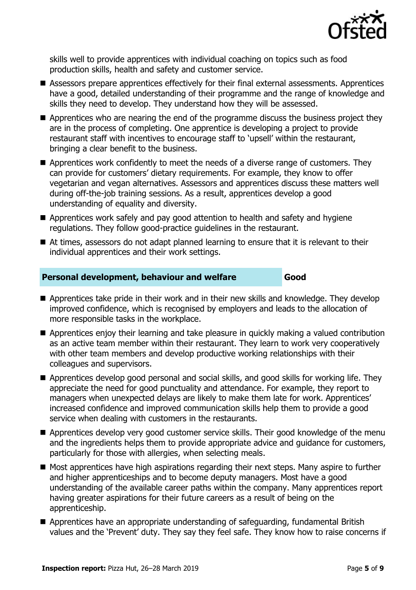

skills well to provide apprentices with individual coaching on topics such as food production skills, health and safety and customer service.

- Assessors prepare apprentices effectively for their final external assessments. Apprentices have a good, detailed understanding of their programme and the range of knowledge and skills they need to develop. They understand how they will be assessed.
- Apprentices who are nearing the end of the programme discuss the business project they are in the process of completing. One apprentice is developing a project to provide restaurant staff with incentives to encourage staff to 'upsell' within the restaurant, bringing a clear benefit to the business.
- Apprentices work confidently to meet the needs of a diverse range of customers. They can provide for customers' dietary requirements. For example, they know to offer vegetarian and vegan alternatives. Assessors and apprentices discuss these matters well during off-the-job training sessions. As a result, apprentices develop a good understanding of equality and diversity.
- Apprentices work safely and pay good attention to health and safety and hygiene regulations. They follow good-practice guidelines in the restaurant.
- At times, assessors do not adapt planned learning to ensure that it is relevant to their individual apprentices and their work settings.

# **Personal development, behaviour and welfare Good**

- **Apprentices take pride in their work and in their new skills and knowledge. They develop** improved confidence, which is recognised by employers and leads to the allocation of more responsible tasks in the workplace.
- Apprentices enjoy their learning and take pleasure in quickly making a valued contribution as an active team member within their restaurant. They learn to work very cooperatively with other team members and develop productive working relationships with their colleagues and supervisors.
- Apprentices develop good personal and social skills, and good skills for working life. They appreciate the need for good punctuality and attendance. For example, they report to managers when unexpected delays are likely to make them late for work. Apprentices' increased confidence and improved communication skills help them to provide a good service when dealing with customers in the restaurants.
- Apprentices develop very good customer service skills. Their good knowledge of the menu and the ingredients helps them to provide appropriate advice and guidance for customers, particularly for those with allergies, when selecting meals.
- Most apprentices have high aspirations regarding their next steps. Many aspire to further and higher apprenticeships and to become deputy managers. Most have a good understanding of the available career paths within the company. Many apprentices report having greater aspirations for their future careers as a result of being on the apprenticeship.
- Apprentices have an appropriate understanding of safeguarding, fundamental British values and the 'Prevent' duty. They say they feel safe. They know how to raise concerns if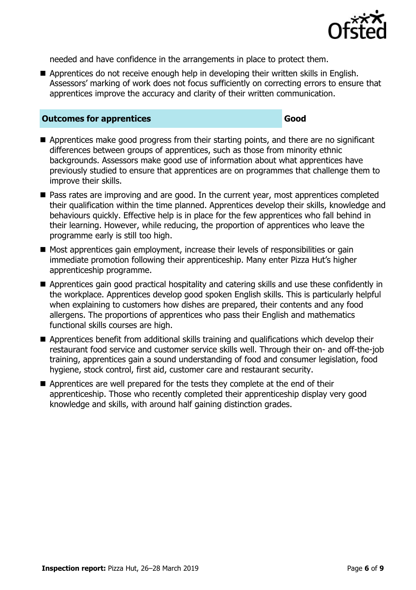

needed and have confidence in the arrangements in place to protect them.

Apprentices do not receive enough help in developing their written skills in English. Assessors' marking of work does not focus sufficiently on correcting errors to ensure that apprentices improve the accuracy and clarity of their written communication.

#### **Outcomes for apprentices Good**

- Apprentices make good progress from their starting points, and there are no significant differences between groups of apprentices, such as those from minority ethnic backgrounds. Assessors make good use of information about what apprentices have previously studied to ensure that apprentices are on programmes that challenge them to improve their skills.
- Pass rates are improving and are good. In the current year, most apprentices completed their qualification within the time planned. Apprentices develop their skills, knowledge and behaviours quickly. Effective help is in place for the few apprentices who fall behind in their learning. However, while reducing, the proportion of apprentices who leave the programme early is still too high.
- $\blacksquare$  Most apprentices gain employment, increase their levels of responsibilities or gain immediate promotion following their apprenticeship. Many enter Pizza Hut's higher apprenticeship programme.
- **E** Apprentices gain good practical hospitality and catering skills and use these confidently in the workplace. Apprentices develop good spoken English skills. This is particularly helpful when explaining to customers how dishes are prepared, their contents and any food allergens. The proportions of apprentices who pass their English and mathematics functional skills courses are high.
- Apprentices benefit from additional skills training and qualifications which develop their restaurant food service and customer service skills well. Through their on- and off-the-job training, apprentices gain a sound understanding of food and consumer legislation, food hygiene, stock control, first aid, customer care and restaurant security.
- Apprentices are well prepared for the tests they complete at the end of their apprenticeship. Those who recently completed their apprenticeship display very good knowledge and skills, with around half gaining distinction grades.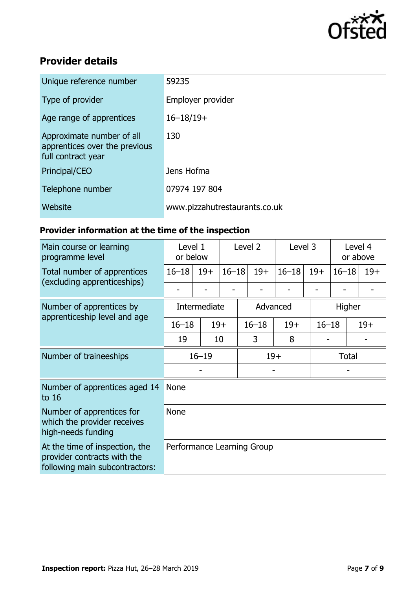

# **Provider details**

| Unique reference number                                                          | 59235                         |
|----------------------------------------------------------------------------------|-------------------------------|
| Type of provider                                                                 | Employer provider             |
| Age range of apprentices                                                         | $16 - 18/19 +$                |
| Approximate number of all<br>apprentices over the previous<br>full contract year | 130                           |
| Principal/CEO                                                                    | Jens Hofma                    |
| Telephone number                                                                 | 07974 197 804                 |
| Website                                                                          | www.pizzahutrestaurants.co.uk |

# **Provider information at the time of the inspection**

| Main course or learning<br>programme level                                                      | Level 1<br>or below        |       | Level <sub>2</sub> |           | Level 3 |           | Level 4<br>or above |                    |       |
|-------------------------------------------------------------------------------------------------|----------------------------|-------|--------------------|-----------|---------|-----------|---------------------|--------------------|-------|
| Total number of apprentices                                                                     | $16 - 18$                  | $19+$ | $16 - 18$          |           | $19+$   | $16 - 18$ | $19+$               | $16 - 18$          | $19+$ |
| (excluding apprenticeships)                                                                     |                            |       |                    |           |         |           |                     |                    |       |
| Number of apprentices by                                                                        | Intermediate               |       | Advanced           |           |         |           | Higher              |                    |       |
| apprenticeship level and age                                                                    | $16 - 18$                  |       | $19+$              | $16 - 18$ |         | $19+$     |                     | $16 - 18$<br>$19+$ |       |
|                                                                                                 | 19                         |       | 10                 | 3         |         | 8         |                     |                    |       |
| Number of traineeships                                                                          | $16 - 19$                  |       |                    | $19+$     |         |           | Total               |                    |       |
|                                                                                                 |                            |       |                    |           |         |           |                     |                    |       |
| Number of apprentices aged 14<br>to $16$                                                        | <b>None</b>                |       |                    |           |         |           |                     |                    |       |
| Number of apprentices for<br>which the provider receives<br>high-needs funding                  | <b>None</b>                |       |                    |           |         |           |                     |                    |       |
| At the time of inspection, the<br>provider contracts with the<br>following main subcontractors: | Performance Learning Group |       |                    |           |         |           |                     |                    |       |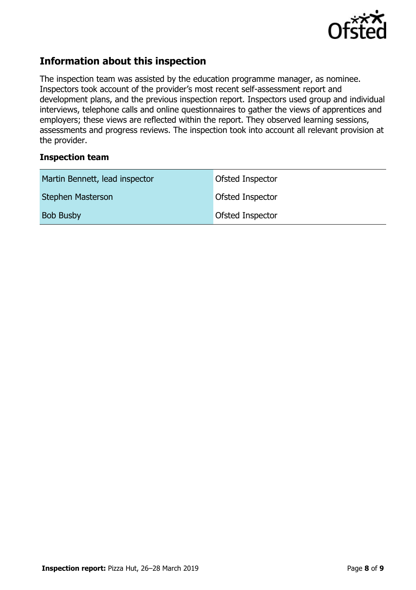

# **Information about this inspection**

The inspection team was assisted by the education programme manager, as nominee. Inspectors took account of the provider's most recent self-assessment report and development plans, and the previous inspection report. Inspectors used group and individual interviews, telephone calls and online questionnaires to gather the views of apprentices and employers; these views are reflected within the report. They observed learning sessions, assessments and progress reviews. The inspection took into account all relevant provision at the provider.

## **Inspection team**

| Martin Bennett, lead inspector | Ofsted Inspector |
|--------------------------------|------------------|
| Stephen Masterson              | Ofsted Inspector |
| <b>Bob Busby</b>               | Ofsted Inspector |